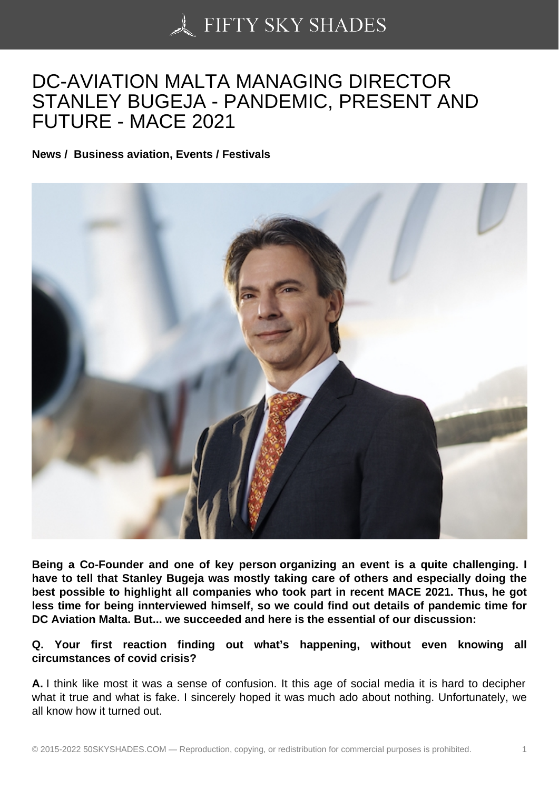# [DC-AVIATION MALTA](https://50skyshades.com) MANAGING DIRECTOR STANLEY BUGEJA - PANDEMIC, PRESENT AND FUTURE - MACE 2021

News / Business aviation, Events / Festivals

Being a Co-Founder and one of key person organizing an event is a quite challenging. I have to tell that Stanley Bugeja was mostly taking care of others and especially doing the best possible to highlight all companies who took part in recent MACE 2021. Thus, he got less time for being innterviewed himself, so we could find out details of pandemic time for DC Aviation Malta. But... we succeeded and here is the essential of our discussion:

Q. Your first reaction finding out what's happening, without even knowing all circumstances of covid crisis?

A. I think like most it was a sense of confusion. It this age of social media it is hard to decipher what it true and what is fake. I sincerely hoped it was much ado about nothing. Unfortunately, we all know how it turned out.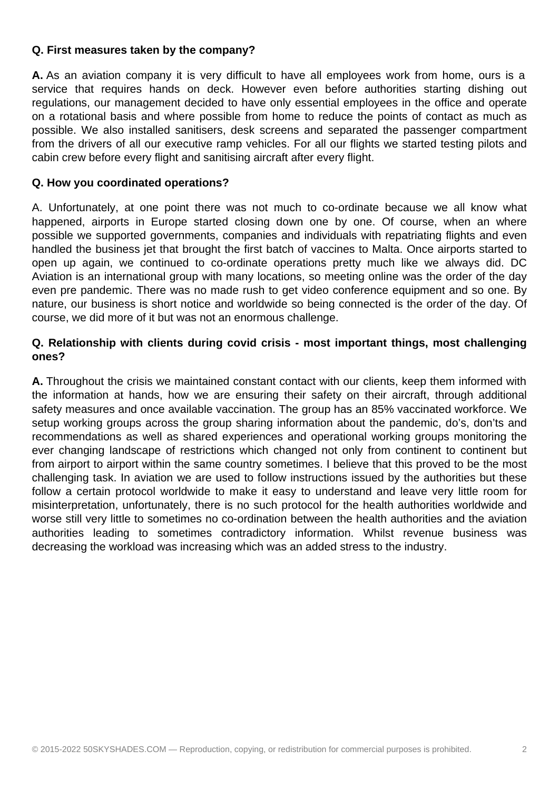#### **Q. First measures taken by the company?**

**A.** As an aviation company it is very difficult to have all employees work from home, ours is a service that requires hands on deck. However even before authorities starting dishing out regulations, our management decided to have only essential employees in the office and operate on a rotational basis and where possible from home to reduce the points of contact as much as possible. We also installed sanitisers, desk screens and separated the passenger compartment from the drivers of all our executive ramp vehicles. For all our flights we started testing pilots and cabin crew before every flight and sanitising aircraft after every flight.

### **Q. How you coordinated operations?**

A. Unfortunately, at one point there was not much to co-ordinate because we all know what happened, airports in Europe started closing down one by one. Of course, when an where possible we supported governments, companies and individuals with repatriating flights and even handled the business jet that brought the first batch of vaccines to Malta. Once airports started to open up again, we continued to co-ordinate operations pretty much like we always did. DC Aviation is an international group with many locations, so meeting online was the order of the day even pre pandemic. There was no made rush to get video conference equipment and so one. By nature, our business is short notice and worldwide so being connected is the order of the day. Of course, we did more of it but was not an enormous challenge.

## **Q. Relationship with clients during covid crisis - most important things, most challenging ones?**

**A.** Throughout the crisis we maintained constant contact with our clients, keep them informed with the information at hands, how we are ensuring their safety on their aircraft, through additional safety measures and once available vaccination. The group has an 85% vaccinated workforce. We setup working groups across the group sharing information about the pandemic, do's, don'ts and recommendations as well as shared experiences and operational working groups monitoring the ever changing landscape of restrictions which changed not only from continent to continent but from airport to airport within the same country sometimes. I believe that this proved to be the most challenging task. In aviation we are used to follow instructions issued by the authorities but these follow a certain protocol worldwide to make it easy to understand and leave very little room for misinterpretation, unfortunately, there is no such protocol for the health authorities worldwide and worse still very little to sometimes no co-ordination between the health authorities and the aviation authorities leading to sometimes contradictory information. Whilst revenue business was decreasing the workload was increasing which was an added stress to the industry.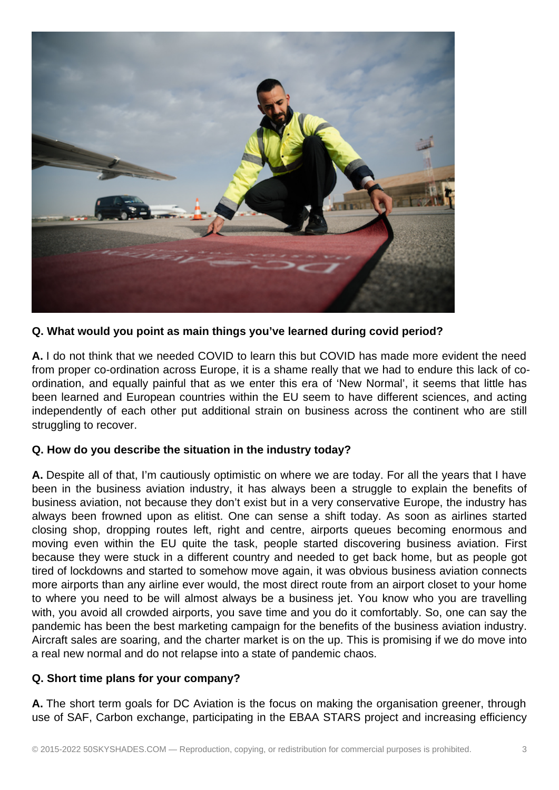

**Q. What would you point as main things you've learned during covid period?**

**A.** I do not think that we needed COVID to learn this but COVID has made more evident the need from proper co-ordination across Europe, it is a shame really that we had to endure this lack of coordination, and equally painful that as we enter this era of 'New Normal', it seems that little has been learned and European countries within the EU seem to have different sciences, and acting independently of each other put additional strain on business across the continent who are still struggling to recover.

# **Q. How do you describe the situation in the industry today?**

**A.** Despite all of that, I'm cautiously optimistic on where we are today. For all the years that I have been in the business aviation industry, it has always been a struggle to explain the benefits of business aviation, not because they don't exist but in a very conservative Europe, the industry has always been frowned upon as elitist. One can sense a shift today. As soon as airlines started closing shop, dropping routes left, right and centre, airports queues becoming enormous and moving even within the EU quite the task, people started discovering business aviation. First because they were stuck in a different country and needed to get back home, but as people got tired of lockdowns and started to somehow move again, it was obvious business aviation connects more airports than any airline ever would, the most direct route from an airport closet to your home to where you need to be will almost always be a business jet. You know who you are travelling with, you avoid all crowded airports, you save time and you do it comfortably. So, one can say the pandemic has been the best marketing campaign for the benefits of the business aviation industry. Aircraft sales are soaring, and the charter market is on the up. This is promising if we do move into a real new normal and do not relapse into a state of pandemic chaos.

# **Q. Short time plans for your company?**

**A.** The short term goals for DC Aviation is the focus on making the organisation greener, through use of SAF, Carbon exchange, participating in the EBAA STARS project and increasing efficiency